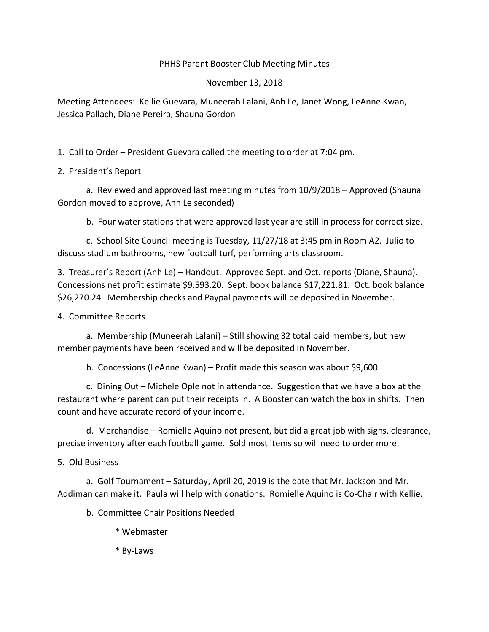## PHHS Parent Booster Club Meeting Minutes

## November 13, 2018

Meeting Attendees: Kellie Guevara, Muneerah Lalani, Anh Le, Janet Wong, LeAnne Kwan, Jessica Pallach, Diane Pereira, Shauna Gordon

1. Call to Order – President Guevara called the meeting to order at 7:04 pm.

## 2. President's Report

a. Reviewed and approved last meeting minutes from 10/9/2018 – Approved (Shauna Gordon moved to approve, Anh Le seconded)

b. Four water stations that were approved last year are still in process for correct size.

c. School Site Council meeting is Tuesday, 11/27/18 at 3:45 pm in Room A2. Julio to discuss stadium bathrooms, new football turf, performing arts classroom.

3. Treasurer's Report (Anh Le) – Handout. Approved Sept. and Oct. reports (Diane, Shauna). Concessions net profit estimate \$9,593.20. Sept. book balance \$17,221.81. Oct. book balance \$26,270.24. Membership checks and Paypal payments will be deposited in November.

4. Committee Reports

a. Membership (Muneerah Lalani) – Still showing 32 total paid members, but new member payments have been received and will be deposited in November.

b. Concessions (LeAnne Kwan) – Profit made this season was about \$9,600.

c. Dining Out – Michele Ople not in attendance. Suggestion that we have a box at the restaurant where parent can put their receipts in. A Booster can watch the box in shifts. Then count and have accurate record of your income.

d. Merchandise – Romielle Aquino not present, but did a great job with signs, clearance, precise inventory after each football game. Sold most items so will need to order more.

5. Old Business

a. Golf Tournament – Saturday, April 20, 2019 is the date that Mr. Jackson and Mr. Addiman can make it. Paula will help with donations. Romielle Aquino is Co-Chair with Kellie.

b. Committee Chair Positions Needed

- \* Webmaster
- \* By-Laws